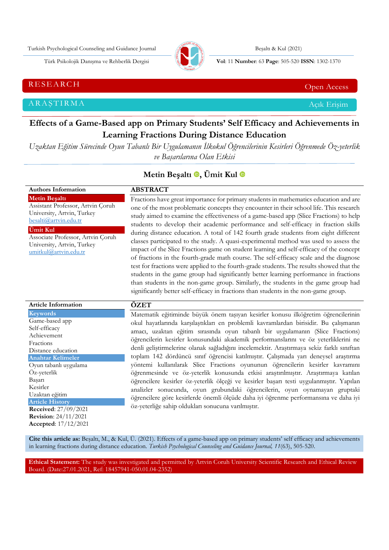Turkish Psychological Counseling and Guidance Journal Besalts & Kul (2021)



Türk Psikolojik Danışma ve Rehberlik Dergisi **Vol**: 11 **Number**: 63 **Page** : 505-520 **ISSN**: 1302-1370

RESEARCH CHE Open Access and the contract of the contract of the contract of the contract of the contract of the contract of the contract of the contract of the contract of the contract of the contract of the contract of t

ARAŞTIRMA Açık Erişim

**Authors Information**

# **Effects of a Game-Based app on Primary Students' Self Efficacy and Achievements in Learning Fractions During Distance Education**

*Uzaktan Eğitim Sürecinde Oyun Tabanlı Bir Uygulamanın İlkokul Öğrencilerinin Kesirleri Öğrenmede Öz-yeterlik ve Başarılarına Olan Etkisi*

# **Metin Beşaltı e**, Ümit Kul **e**

# **ABSTRACT**

**Metin Beşaltı** Assistant Professor, Artvin Çoruh University, Artvin, Turkey [besalti@artvin.edu.tr](mailto:besalti@artvin.edu.tr) **Ümit Kul**

Associate Professor, Artvin Çoruh University, Artvin, Turkey [umitkul@artvin.edu.tr](mailto:umitkul@artvin.edu.tr)

Fractions have great importance for primary students in mathematics education and are one of the most problematic concepts they encounter in their school life. This research study aimed to examine the effectiveness of a game-based app (Slice Fractions) to help students to develop their academic performance and self-efficacy in fraction skills during distance education. A total of 142 fourth grade students from eight different classes participated to the study. A quasi-experimental method was used to assess the impact of the Slice Fractions game on student learning and self-efficacy of the concept of fractions in the fourth-grade math course. The self-efficacy scale and the diagnose test for fractions were applied to the fourth-grade students. The results showed that the students in the game group had significantly better learning performance in fractions than students in the non-game group. Similarly, the students in the game group had significantly better self-efficacy in fractions than students in the non-game group.

| <b>Article Information</b>                                                         | ÖZET                                                                                                                                                                                                                                                                                                                                                       |
|------------------------------------------------------------------------------------|------------------------------------------------------------------------------------------------------------------------------------------------------------------------------------------------------------------------------------------------------------------------------------------------------------------------------------------------------------|
| <b>Keywords</b>                                                                    | Matematik eğitiminde büyük önem taşıyan kesirler konusu ilköğretim öğrencilerinin                                                                                                                                                                                                                                                                          |
| Game-based app<br>Self-efficacy<br>Achievement<br>Fractions<br>Distance education  | okul hayatlarında karşılaştıkları en problemli kavramlardan birisidir. Bu çalışmanın<br>amacı, uzaktan eğitim sırasında oyun tabanlı bir uygulamanın (Slice Fractions)<br>öğrencilerin kesirler konusundaki akademik performanslarını ve öz yeterliklerini ne<br>denli geliştirmelerine olanak sağladığını incelemektir. Araştırmaya sekiz farklı sınıftan |
| <b>Anahtar Kelimeler</b><br>Oyun tabanlı uygulama                                  | toplam 142 dördüncü sınıf öğrencisi katılmıştır. Çalışmada yarı deneysel araştırma<br>yöntemi kullanılarak Slice Fractions oyununun öğrencilerin kesirler kavramını                                                                                                                                                                                        |
| Öz-yeterlik<br>Başarı<br>Kesirler<br>Uzaktan eğitim<br><b>Article History</b>      | öğrenmesinde ve öz-yeterlik konusunda etkisi araştırılmıştır. Araştırmaya katılan<br>öğrencilere kesirler öz-yeterlik ölçeği ve kesirler başarı testi uygulanmıştır. Yapılan<br>analizler sonucunda, oyun grubundaki öğrencilerin, oyun oynamayan gruptaki<br>öğrencilere göre kesirlerde önemli ölçüde daha iyi öğrenme performansına ve daha iyi         |
| <b>Received:</b> 27/09/2021<br><b>Revision:</b> 24/11/2021<br>Accepted: 17/12/2021 | öz-yeterliğe sahip oldukları sonucuna varılmıştır.                                                                                                                                                                                                                                                                                                         |

**Cite this article as:** Beşaltı, M., & Kul, Ü. (2021). Effects of a game-based app on primary students' self efficacy and achievements in learning fractions during distance education*. Turkish Psychological Counseling and Guidance Journal, 11*(63), 505-520.

**Ethical Statement:** The study was investigated and permitted by Artvin Coruh University Scientific Research and Ethical Review Board. (Date:27.01.2021, Ref: 18457941-050.01.04-2352)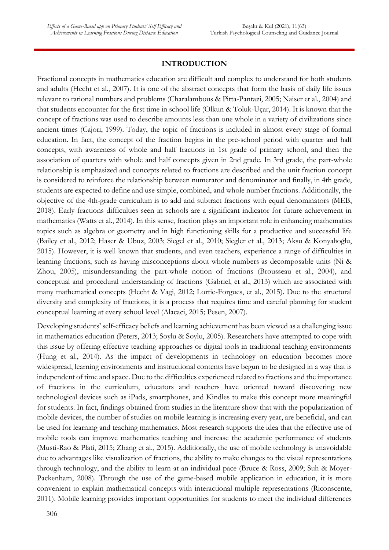# **INTRODUCTION**

Fractional concepts in mathematics education are difficult and complex to understand for both students and adults (Hecht et al., 2007). It is one of the abstract concepts that form the basis of daily life issues relevant to rational numbers and problems (Charalambous & Pitta-Pantazi, 2005; Naiser et al., 2004) and that students encounter for the first time in school life (Olkun & Toluk-Uçar, 2014). It is known that the concept of fractions was used to describe amounts less than one whole in a variety of civilizations since ancient times (Cajori, 1999). Today, the topic of fractions is included in almost every stage of formal education. In fact, the concept of the fraction begins in the pre-school period with quarter and half concepts, with awareness of whole and half fractions in 1st grade of primary school, and then the association of quarters with whole and half concepts given in 2nd grade. In 3rd grade, the part-whole relationship is emphasized and concepts related to fractions are described and the unit fraction concept is considered to reinforce the relationship between numerator and denominator and finally, in 4th grade, students are expected to define and use simple, combined, and whole number fractions. Additionally, the objective of the 4th-grade curriculum is to add and subtract fractions with equal denominators (MEB, 2018). Early fractions difficulties seen in schools are a significant indicator for future achievement in mathematics (Watts et al., 2014). In this sense, fraction plays an important role in enhancing mathematics topics such as algebra or geometry and in high functioning skills for a productive and successful life (Bailey et al., 2012; Haser & Ubuz, 2003; Siegel et al., 2010; Siegler et al., 2013; Aksu & Konyalıoğlu, 2015). However, it is well known that students, and even teachers, experience a range of difficulties in learning fractions, such as having misconceptions about whole numbers as decomposable units (Ni & Zhou, 2005), misunderstanding the part-whole notion of fractions (Brousseau et al., 2004), and conceptual and procedural understanding of fractions (Gabriel, et al., 2013) which are associated with many mathematical concepts (Hecht & Vagi, 2012; Lortie-Forgues, et al., 2015). Due to the structural diversity and complexity of fractions, it is a process that requires time and careful planning for student conceptual learning at every school level (Alacaci, 2015; Pesen, 2007).

Developing students' self-efficacy beliefs and learning achievement has been viewed as a challenging issue in mathematics education (Peters, 2013; Soylu & Soylu, 2005). Researchers have attempted to cope with this issue by offering effective teaching approaches or digital tools in traditional teaching environments (Hung et al., 2014). As the impact of developments in technology on education becomes more widespread, learning environments and instructional contents have begun to be designed in a way that is independent of time and space. Due to the difficulties experienced related to fractions and the importance of fractions in the curriculum, educators and teachers have oriented toward discovering new technological devices such as iPads, smartphones, and Kindles to make this concept more meaningful for students. In fact, findings obtained from studies in the literature show that with the popularization of mobile devices, the number of studies on mobile learning is increasing every year, are beneficial, and can be used for learning and teaching mathematics. Most research supports the idea that the effective use of mobile tools can improve mathematics teaching and increase the academic performance of students (Musti-Rao & Plati, 2015; Zhang et al., 2015). Additionally, the use of mobile technology is unavoidable due to advantages like visualization of fractions, the ability to make changes to the visual representations through technology, and the ability to learn at an individual pace (Bruce & Ross, 2009; Suh & Moyer-Packenham, 2008). Through the use of the game-based mobile application in education, it is more convenient to explain mathematical concepts with interactional multiple representations (Riconscente, 2011). Mobile learning provides important opportunities for students to meet the individual differences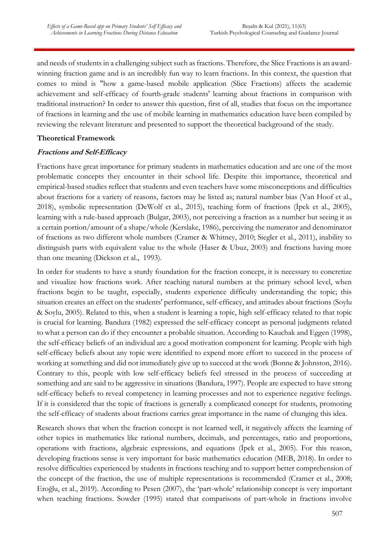and needs of students in a challenging subject such as fractions. Therefore, the Slice Fractions is an awardwinning fraction game and is an incredibly fun way to learn fractions. In this context, the question that comes to mind is "how a game-based mobile application (Slice Fractions) affects the academic achievement and self-efficacy of fourth-grade students' learning about fractions in comparison with traditional instruction? In order to answer this question, first of all, studies that focus on the importance of fractions in learning and the use of mobile learning in mathematics education have been compiled by reviewing the relevant literature and presented to support the theoretical background of the study.

### **Theoretical Framework**

### **Fractions and Self-Efficacy**

Fractions have great importance for primary students in mathematics education and are one of the most problematic concepts they encounter in their school life. Despite this importance, theoretical and empirical-based studies reflect that students and even teachers have some misconceptions and difficulties about fractions for a variety of reasons, factors may be listed as; natural number bias (Van Hoof et al., 2018), symbolic representation (DeWolf et al., 2015), teaching form of fractions (İpek et al., 2005), learning with a rule-based approach (Bulgar, 2003), not perceiving a fraction as a number but seeing it as a certain portion/amount of a shape/whole (Kerslake, 1986), perceiving the numerator and denominator of fractions as two different whole numbers (Cramer & Whitney, 2010; Siegler et al., 2011), inability to distinguish parts with equivalent value to the whole (Haser & Ubuz, 2003) and fractions having more than one meaning (Dickson et al., 1993).

In order for students to have a sturdy foundation for the fraction concept, it is necessary to concretize and visualize how fractions work. After teaching natural numbers at the primary school level, when fractions begin to be taught, especially, students experience difficulty understanding the topic; this situation creates an effect on the students' performance, self-efficacy, and attitudes about fractions (Soylu & Soylu, 2005). Related to this, when a student is learning a topic, high self-efficacy related to that topic is crucial for learning. Bandura (1982) expressed the self-efficacy concept as personal judgments related to what a person can do if they encounter a probable situation. According to Kauchak and Eggen (1998), the self-efficacy beliefs of an individual are a good motivation component for learning. People with high self-efficacy beliefs about any topic were identified to expend more effort to succeed in the process of working at something and did not immediately give up to succeed at the work (Bonne & Johnston, 2016). Contrary to this, people with low self-efficacy beliefs feel stressed in the process of succeeding at something and are said to be aggressive in situations (Bandura, 1997). People are expected to have strong self-efficacy beliefs to reveal competency in learning processes and not to experience negative feelings. If it is considered that the topic of fractions is generally a complicated concept for students, promoting the self-efficacy of students about fractions carries great importance in the name of changing this idea.

Research shows that when the fraction concept is not learned well, it negatively affects the learning of other topics in mathematics like rational numbers, decimals, and percentages, ratio and proportions, operations with fractions, algebraic expressions, and equations (İpek et al., 2005). For this reason, developing fractions sense is very important for basic mathematics education (MEB, 2018). In order to resolve difficulties experienced by students in fractions teaching and to support better comprehension of the concept of the fraction, the use of multiple representations is recommended (Cramer et al., 2008; Eroğlu, et al., 2019). According to Pesen (2007), the 'part-whole' relationship concept is very important when teaching fractions. Sowder (1995) stated that comparisons of part-whole in fractions involve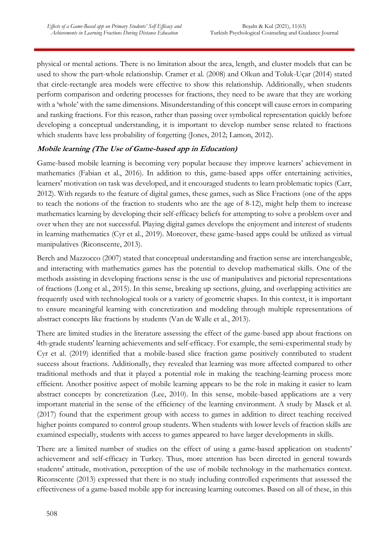physical or mental actions. There is no limitation about the area, length, and cluster models that can be used to show the part-whole relationship. Cramer et al. (2008) and Olkun and Toluk-Uçar (2014) stated that circle-rectangle area models were effective to show this relationship. Additionally, when students perform comparison and ordering processes for fractions, they need to be aware that they are working with a 'whole' with the same dimensions. Misunderstanding of this concept will cause errors in comparing and ranking fractions. For this reason, rather than passing over symbolical representation quickly before developing a conceptual understanding, it is important to develop number sense related to fractions which students have less probability of forgetting (Jones, 2012; Lamon, 2012).

# **Mobile learning (The Use of Game-based app in Education)**

Game-based mobile learning is becoming very popular because they improve learners' achievement in mathematics (Fabian et al., 2016). In addition to this, game-based apps offer entertaining activities, learners' motivation on task was developed, and it encouraged students to learn problematic topics (Carr, 2012). With regards to the feature of digital games, these games, such as Slice Fractions (one of the apps to teach the notions of the fraction to students who are the age of 8-12), might help them to increase mathematics learning by developing their self-efficacy beliefs for attempting to solve a problem over and over when they are not successful. Playing digital games develops the enjoyment and interest of students in learning mathematics (Cyr et al., 2019). Moreover, these game-based apps could be utilized as virtual manipulatives (Riconscente, 2013).

Berch and Mazzocco (2007) stated that conceptual understanding and fraction sense are interchangeable, and interacting with mathematics games has the potential to develop mathematical skills. One of the methods assisting in developing fractions sense is the use of manipulatives and pictorial representations of fractions (Long et al., 2015). In this sense, breaking up sections, gluing, and overlapping activities are frequently used with technological tools or a variety of geometric shapes. In this context, it is important to ensure meaningful learning with concretization and modeling through multiple representations of abstract concepts like fractions by students (Van de Walle et al., 2013).

There are limited studies in the literature assessing the effect of the game-based app about fractions on 4th-grade students' learning achievements and self-efficacy. For example, the semi-experimental study by Cyr et al. (2019) identified that a mobile-based slice fraction game positively contributed to student success about fractions. Additionally, they revealed that learning was more affected compared to other traditional methods and that it played a potential role in making the teaching-learning process more efficient. Another positive aspect of mobile learning appears to be the role in making it easier to learn abstract concepts by concretization (Lee, 2010). In this sense, mobile-based applications are a very important material in the sense of the efficiency of the learning environment. A study by Masek et al. (2017) found that the experiment group with access to games in addition to direct teaching received higher points compared to control group students. When students with lower levels of fraction skills are examined especially, students with access to games appeared to have larger developments in skills.

There are a limited number of studies on the effect of using a game-based application on students' achievement and self-efficacy in Turkey. Thus, more attention has been directed in general towards students' attitude, motivation, perception of the use of mobile technology in the mathematics context. Riconscente (2013) expressed that there is no study including controlled experiments that assessed the effectiveness of a game-based mobile app for increasing learning outcomes. Based on all of these, in this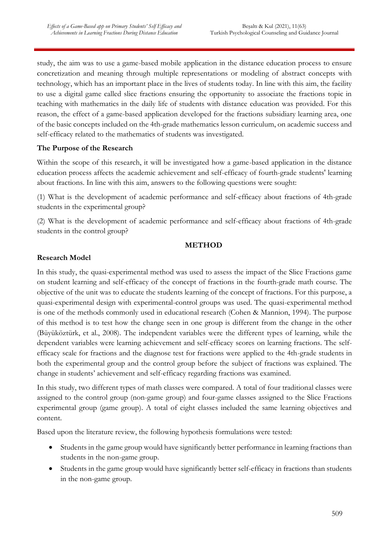study, the aim was to use a game-based mobile application in the distance education process to ensure concretization and meaning through multiple representations or modeling of abstract concepts with technology, which has an important place in the lives of students today. In line with this aim, the facility to use a digital game called slice fractions ensuring the opportunity to associate the fractions topic in teaching with mathematics in the daily life of students with distance education was provided. For this reason, the effect of a game-based application developed for the fractions subsidiary learning area, one of the basic concepts included on the 4th-grade mathematics lesson curriculum, on academic success and self-efficacy related to the mathematics of students was investigated.

# **The Purpose of the Research**

Within the scope of this research, it will be investigated how a game-based application in the distance education process affects the academic achievement and self-efficacy of fourth-grade students' learning about fractions. In line with this aim, answers to the following questions were sought:

(1) What is the development of academic performance and self-efficacy about fractions of 4th-grade students in the experimental group?

(2) What is the development of academic performance and self-efficacy about fractions of 4th-grade students in the control group?

# **METHOD**

# **Research Model**

In this study, the quasi-experimental method was used to assess the impact of the Slice Fractions game on student learning and self-efficacy of the concept of fractions in the fourth-grade math course. The objective of the unit was to educate the students learning of the concept of fractions. For this purpose, a quasi-experimental design with experimental-control groups was used. The quasi-experimental method is one of the methods commonly used in educational research (Cohen & Mannion, 1994). The purpose of this method is to test how the change seen in one group is different from the change in the other (Büyüköztürk, et al., 2008). The independent variables were the different types of learning, while the dependent variables were learning achievement and self-efficacy scores on learning fractions. The selfefficacy scale for fractions and the diagnose test for fractions were applied to the 4th-grade students in both the experimental group and the control group before the subject of fractions was explained. The change in students' achievement and self-efficacy regarding fractions was examined.

In this study, two different types of math classes were compared. A total of four traditional classes were assigned to the control group (non-game group) and four-game classes assigned to the Slice Fractions experimental group (game group). A total of eight classes included the same learning objectives and content.

Based upon the literature review, the following hypothesis formulations were tested:

- Students in the game group would have significantly better performance in learning fractions than students in the non-game group.
- Students in the game group would have significantly better self-efficacy in fractions than students in the non-game group.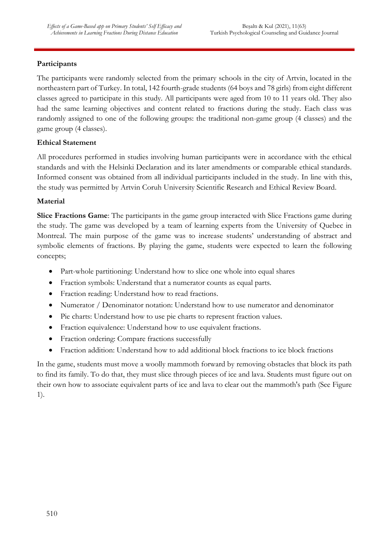# **Participants**

The participants were randomly selected from the primary schools in the city of Artvin, located in the northeastern part of Turkey. In total, 142 fourth-grade students (64 boys and 78 girls) from eight different classes agreed to participate in this study. All participants were aged from 10 to 11 years old. They also had the same learning objectives and content related to fractions during the study. Each class was randomly assigned to one of the following groups: the traditional non-game group (4 classes) and the game group (4 classes).

# **Ethical Statement**

All procedures performed in studies involving human participants were in accordance with the ethical standards and with the Helsinki Declaration and its later amendments or comparable ethical standards. Informed consent was obtained from all individual participants included in the study. In line with this, the study was permitted by Artvin Coruh University Scientific Research and Ethical Review Board.

# **Material**

**Slice Fractions Game**: The participants in the game group interacted with Slice Fractions game during the study. The game was developed by a team of learning experts from the University of Quebec in Montreal. The main purpose of the game was to increase students' understanding of abstract and symbolic elements of fractions. By playing the game, students were expected to learn the following concepts;

- Part-whole partitioning: Understand how to slice one whole into equal shares
- Fraction symbols: Understand that a numerator counts as equal parts.
- Fraction reading: Understand how to read fractions.
- Numerator / Denominator notation: Understand how to use numerator and denominator
- Pie charts: Understand how to use pie charts to represent fraction values.
- Fraction equivalence: Understand how to use equivalent fractions.
- Fraction ordering: Compare fractions successfully
- Fraction addition: Understand how to add additional block fractions to ice block fractions

In the game, students must move a woolly mammoth forward by removing obstacles that block its path to find its family. To do that, they must slice through pieces of ice and lava. Students must figure out on their own how to associate equivalent parts of ice and lava to clear out the mammoth's path (See Figure 1).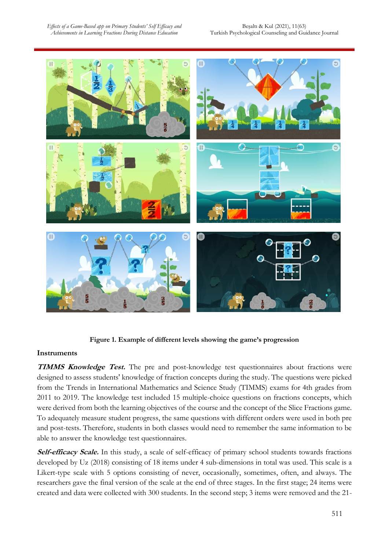

**Figure 1. Example of different levels showing the game's progression**

# **Instruments**

**TIMMS Knowledge Test.** The pre and post-knowledge test questionnaires about fractions were designed to assess students' knowledge of fraction concepts during the study. The questions were picked from the Trends in International Mathematics and Science Study (TIMMS) exams for 4th grades from 2011 to 2019. The knowledge test included 15 multiple-choice questions on fractions concepts, which were derived from both the learning objectives of the course and the concept of the Slice Fractions game. To adequately measure student progress, the same questions with different orders were used in both pre and post-tests. Therefore, students in both classes would need to remember the same information to be able to answer the knowledge test questionnaires.

Self-efficacy Scale. In this study, a scale of self-efficacy of primary school students towards fractions developed by Uz (2018) consisting of 18 items under 4 sub-dimensions in total was used. This scale is a Likert-type scale with 5 options consisting of never, occasionally, sometimes, often, and always. The researchers gave the final version of the scale at the end of three stages. In the first stage; 24 items were created and data were collected with 300 students. In the second step; 3 items were removed and the 21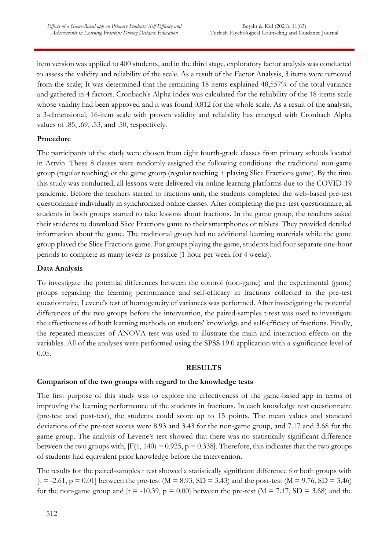item version was applied to 400 students, and in the third stage, exploratory factor analysis was conducted to assess the validity and reliability of the scale. As a result of the Factor Analysis, 3 items were removed from the scale; It was determined that the remaining 18 items explained 48,557% of the total variance and gathered in 4 factors. Cronbach's Alpha index was calculated for the reliability of the 18-items scale whose validity had been approved and it was found 0,812 for the whole scale. As a result of the analysis, a 3-dimensional, 16-item scale with proven validity and reliability has emerged with Cronbach Alpha values of .85, .69, .53, and .50, respectively.

# **Procedure**

The participants of the study were chosen from eight fourth-grade classes from primary schools located in Artvin. These 8 classes were randomly assigned the following conditions: the traditional non-game group (regular teaching) or the game group (regular teaching + playing Slice Fractions game). By the time this study was conducted, all lessons were delivered via online learning platforms due to the COVID-19 pandemic. Before the teachers started to fractions unit, the students completed the web-based pre-test questionnaire individually in synchronized online classes. After completing the pre-test questionnaire, all students in both groups started to take lessons about fractions. In the game group, the teachers asked their students to download Slice Fractions game to their smartphones or tablets. They provided detailed information about the game. The traditional group had no additional learning materials while the game group played the Slice Fractions game. For groups playing the game, students had four separate one-hour periods to complete as many levels as possible (1 hour per week for 4 weeks).

# **Data Analysis**

To investigate the potential differences between the control (non-game) and the experimental (game) groups regarding the learning performance and self-efficacy in fractions collected in the pre-test questionnaire, Levene's test of homogeneity of variances was performed. After investigating the potential differences of the two groups before the intervention, the paired-samples t-test was used to investigate the effectiveness of both learning methods on students' knowledge and self-efficacy of fractions. Finally, the repeated measures of ANOVA test was used to illustrate the main and interaction effects on the variables. All of the analyses were performed using the SPSS 19.0 application with a significance level of 0.05.

#### **RESULTS**

# **Comparison of the two groups with regard to the knowledge tests**

The first purpose of this study was to explore the effectiveness of the game-based app in terms of improving the learning performance of the students in fractions. In each knowledge test questionnaire (pre-test and post-test), the students could score up to 15 points. The mean values and standard deviations of the pre-test scores were 8.93 and 3.43 for the non-game group, and 7.17 and 3.68 for the game group. The analysis of Levene's test showed that there was no statistically significant difference between the two groups with,  $[F(1, 140) = 0.925, p = 0.338]$ . Therefore, this indicates that the two groups of students had equivalent prior knowledge before the intervention.

The results for the paired-samples t test showed a statistically significant difference for both groups with  $[t = -2.61, p = 0.01]$  between the pre-test (M = 8.93, SD = 3.43) and the post-test (M = 9.76, SD = 3.46) for the non-game group and  $[t = -10.39, p = 0.00]$  between the pre-test  $(M = 7.17, SD = 3.68)$  and the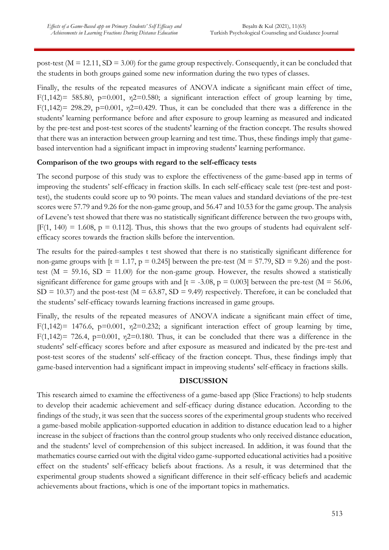post-test ( $M = 12.11$ ,  $SD = 3.00$ ) for the game group respectively. Consequently, it can be concluded that the students in both groups gained some new information during the two types of classes.

Finally, the results of the repeated measures of ANOVA indicate a significant main effect of time, F(1,142)= 585.80, p=0.001,  $n2=0.580$ ; a significant interaction effect of group learning by time, F(1,142)= 298.29, p=0.001,  $n2=0.429$ . Thus, it can be concluded that there was a difference in the students' learning performance before and after exposure to group learning as measured and indicated by the pre-test and post-test scores of the students' learning of the fraction concept. The results showed that there was an interaction between group learning and test time. Thus, these findings imply that gamebased intervention had a significant impact in improving students' learning performance.

# **Comparison of the two groups with regard to the self-efficacy tests**

The second purpose of this study was to explore the effectiveness of the game-based app in terms of improving the students' self-efficacy in fraction skills. In each self-efficacy scale test (pre-test and posttest), the students could score up to 90 points. The mean values and standard deviations of the pre-test scores were 57.79 and 9.26 for the non-game group, and 56.47 and 10.53 for the game group. The analysis of Levene's test showed that there was no statistically significant difference between the two groups with,  $[F(1, 140) = 1.608, p = 0.112]$ . Thus, this shows that the two groups of students had equivalent selfefficacy scores towards the fraction skills before the intervention.

The results for the paired-samples t test showed that there is no statistically significant difference for non-game groups with  $[t = 1.17, p = 0.245]$  between the pre-test  $(M = 57.79, SD = 9.26)$  and the posttest ( $M = 59.16$ ,  $SD = 11.00$ ) for the non-game group. However, the results showed a statistically significant difference for game groups with and  $[t = -3.08, p = 0.003]$  between the pre-test (M = 56.06,  $SD = 10.37$ ) and the post-test (M = 63.87, SD = 9.49) respectively. Therefore, it can be concluded that the students' self-efficacy towards learning fractions increased in game groups.

Finally, the results of the repeated measures of ANOVA indicate a significant main effect of time, F(1,142)= 1476.6, p=0.001,  $\eta$ 2=0.232; a significant interaction effect of group learning by time, F(1,142)= 726.4, p=0.001,  $n2=0.180$ . Thus, it can be concluded that there was a difference in the students' self-efficacy scores before and after exposure as measured and indicated by the pre-test and post-test scores of the students' self-efficacy of the fraction concept. Thus, these findings imply that game-based intervention had a significant impact in improving students' self-efficacy in fractions skills.

#### **DISCUSSION**

This research aimed to examine the effectiveness of a game-based app (Slice Fractions) to help students to develop their academic achievement and self-efficacy during distance education. According to the findings of the study, it was seen that the success scores of the experimental group students who received a game-based mobile application-supported education in addition to distance education lead to a higher increase in the subject of fractions than the control group students who only received distance education, and the students' level of comprehension of this subject increased. In addition, it was found that the mathematics course carried out with the digital video game-supported educational activities had a positive effect on the students' self-efficacy beliefs about fractions. As a result, it was determined that the experimental group students showed a significant difference in their self-efficacy beliefs and academic achievements about fractions, which is one of the important topics in mathematics.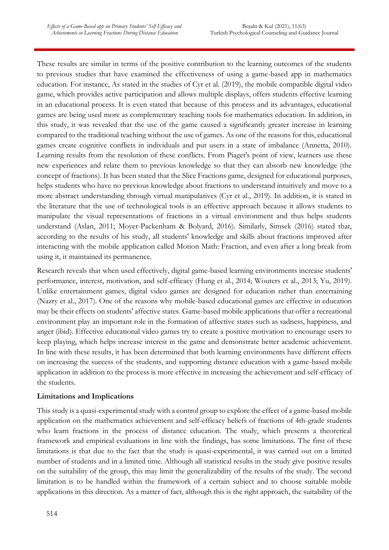These results are similar in terms of the positive contribution to the learning outcomes of the students to previous studies that have examined the effectiveness of using a game-based app in mathematics education. For instance, As stated in the studies of Cyr et al. (2019), the mobile compatible digital video game, which provides active participation and allows multiple displays, offers students effective learning in an educational process. It is even stated that because of this process and its advantages, educational games are being used more as complementary teaching tools for mathematics education. In addition, in this study, it was revealed that the use of the game caused a significantly greater increase in learning compared to the traditional teaching without the use of games. As one of the reasons for this, educational games create cognitive conflicts in individuals and put users in a state of imbalance (Annetta, 2010). Learning results from the resolution of these conflicts. From Piaget's point of view, learners use these new experiences and relate them to previous knowledge so that they can absorb new knowledge (the concept of fractions). It has been stated that the Slice Fractions game, designed for educational purposes, helps students who have no previous knowledge about fractions to understand intuitively and move to a more abstract understanding through virtual manipulatives (Cyr et al., 2019). In addition, it is stated in the literature that the use of technological tools is an effective approach because it allows students to manipulate the visual representations of fractions in a virtual environment and thus helps students understand (Aslan, 2011; Moyer-Packenham & Bolyard, 2016). Similarly, Simsek (2016) stated that, according to the results of his study, all students' knowledge and skills about fractions improved after interacting with the mobile application called Motion Math: Fraction, and even after a long break from using it, it maintained its permanence.

Research reveals that when used effectively, digital game-based learning environments increase students' performance, interest, motivation, and self-efficacy (Hung et al., 2014; Wouters et al., 2013; Yu, 2019). Unlike entertainment games, digital video games are designed for education rather than entertaining (Nazry et al., 2017). One of the reasons why mobile-based educational games are effective in education may be their effects on students' affective states. Game-based mobile applications that offer a recreational environment play an important role in the formation of affective states such as sadness, happiness, and anger (ibid). Effective educational video games try to create a positive motivation to encourage users to keep playing, which helps increase interest in the game and demonstrate better academic achievement. In line with these results, it has been determined that both learning environments have different effects on increasing the success of the students, and supporting distance education with a game-based mobile application in addition to the process is more effective in increasing the achievement and self-efficacy of the students.

# **Limitations and Implications**

This study is a quasi-experimental study with a control group to explore the effect of a game-based mobile application on the mathematics achievement and self-efficacy beliefs of fractions of 4th-grade students who learn fractions in the process of distance education. The study, which presents a theoretical framework and empirical evaluations in line with the findings, has some limitations. The first of these limitations is that due to the fact that the study is quasi-experimental, it was carried out on a limited number of students and in a limited time. Although all statistical results in the study give positive results on the suitability of the group, this may limit the generalizability of the results of the study. The second limitation is to be handled within the framework of a certain subject and to choose suitable mobile applications in this direction. As a matter of fact, although this is the right approach, the suitability of the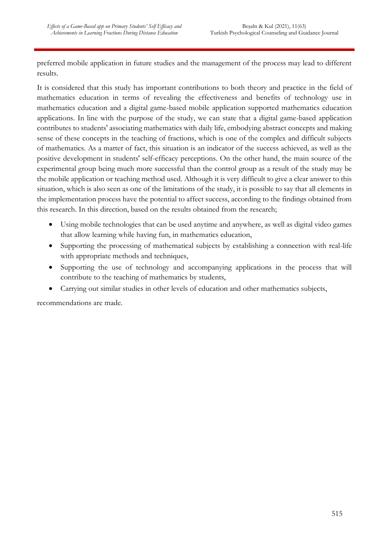preferred mobile application in future studies and the management of the process may lead to different results.

It is considered that this study has important contributions to both theory and practice in the field of mathematics education in terms of revealing the effectiveness and benefits of technology use in mathematics education and a digital game-based mobile application supported mathematics education applications. In line with the purpose of the study, we can state that a digital game-based application contributes to students' associating mathematics with daily life, embodying abstract concepts and making sense of these concepts in the teaching of fractions, which is one of the complex and difficult subjects of mathematics. As a matter of fact, this situation is an indicator of the success achieved, as well as the positive development in students' self-efficacy perceptions. On the other hand, the main source of the experimental group being much more successful than the control group as a result of the study may be the mobile application or teaching method used. Although it is very difficult to give a clear answer to this situation, which is also seen as one of the limitations of the study, it is possible to say that all elements in the implementation process have the potential to affect success, according to the findings obtained from this research. In this direction, based on the results obtained from the research;

- Using mobile technologies that can be used anytime and anywhere, as well as digital video games that allow learning while having fun, in mathematics education,
- Supporting the processing of mathematical subjects by establishing a connection with real-life with appropriate methods and techniques,
- Supporting the use of technology and accompanying applications in the process that will contribute to the teaching of mathematics by students,
- Carrying out similar studies in other levels of education and other mathematics subjects,

recommendations are made.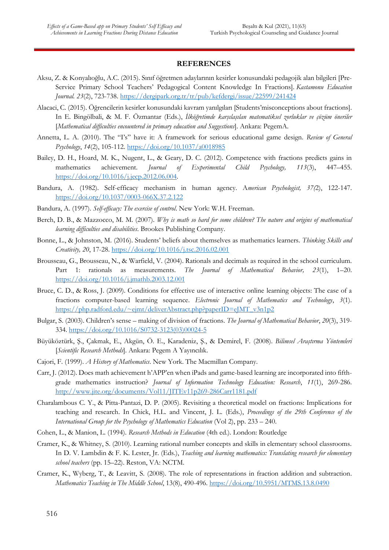#### **REFERENCES**

- Aksu, Z. & Konyalıoğlu, A.C. (2015). Sınıf öğretmen adaylarının kesirler konusundaki pedagojik alan bilgileri [Pre-Service Primary School Teachers' Pedagogical Content Knowledge In Fractions]. *Kastamonu Education Journal. 23*(2), 723-738. <https://dergipark.org.tr/tr/pub/kefdergi/issue/22599/241424>
- Alacaci, C. (2015). Öğrencilerin kesirler konusundaki kavram yanılgıları [Students'misconceptions about fractions]. In E. Bingölbali, & M. F. Özmantar (Eds.), *İlköğretimde karşılaşılan matematiksel zorluklar ve çözüm öneriler*  [*Mathematical difficulties encountered in primary education and Suggestions*]. Ankara: PegemA.
- Annetta, L. A. (2010). The "I's" have it: A framework for serious educational game design. *Review of General Psychology*, *14*(2), 105-112. [https://doi.org/10.1037/a0018985](https://doi.org/10.1037%2Fa0018985)
- Bailey, D. H., Hoard, M. K., Nugent, L., & Geary, D. C. (2012). Competence with fractions predicts gains in mathematics achievement. *Journal of Experimental Child Psychology, 113*(3), 447–455. [https://doi.org/10.1016/j.jecp.2012.06.004.](https://doi.org/10.1016/j.jecp.2012.06.004)
- Bandura, A. (1982). Self-efficacy mechanism in human agency. A*merican Psychologist, 37(*2), 122-147. [https://doi.org/10.1037/0003-066X.37.2.122](https://psycnet.apa.org/doi/10.1037/0003-066X.37.2.122)
- Bandura, A. (1997). *Self-efficacy: The exercise of control*. New York: W.H. Freeman.
- Berch, D. B., & Mazzocco, M. M. (2007). *Why is math so hard for some children? The nature and origins of mathematical learning difficulties and disabilities*. Brookes Publishing Company.
- Bonne, L., & Johnston, M. (2016). Students' beliefs about themselves as mathematics learners. *Thinking Skills and Creativity, 20*, 17-28.<https://doi.org/10.1016/j.tsc.2016.02.001>
- Brousseau, G., Brousseau, N., & Warfield, V. (2004). Rationals and decimals as required in the school curriculum. Part 1: rationals as measurements*. The Journal of Mathematical Behavior, 23*(1), 1–20. [https://doi.org/10.1016/j.jmathb.2003.12.001](https://psycnet.apa.org/doi/10.1016/j.jmathb.2003.12.001)
- Bruce, C. D., & Ross, J. (2009). Conditions for effective use of interactive online learning objects: The case of a fractions computer-based learning sequence. *Electronic Journal of Mathematics and Technology*, *3*(1). [https://php.radford.edu/~ejmt/deliverAbstract.php?paperID=eJMT\\_v3n1p2](https://php.radford.edu/~ejmt/deliverAbstract.php?paperID=eJMT_v3n1p2)
- Bulgar, S. (2003). Children's sense making of division of fractions. *The Journal of Mathematical Behavior*, *20*(3), 319- 334. [https://doi.org/10.1016/S0732-3123\(03\)00024-5](https://doi.org/10.1016/S0732-3123(03)00024-5)
- Büyüköztürk, Ş., Çakmak, E., Akgün, Ö. E., Karadeniz, Ş., & Demirel, F. (2008). *Bilimsel Araştırma Yöntemleri* [*Scientific Research Methods*]. Ankara: Pegem A Yayıncılık.
- Cajori, F. (1999). *A History of Mathematics*. New York. The Macmillan Company.
- Carr, J. (2012). Does math achievement h'APP'en when iPads and game-based learning are incorporated into fifthgrade mathematics instruction? *Journal of Information Technology Education: Research*, *11*(1), 269-286. <http://www.jite.org/documents/Vol11/JITEv11p269-286Carr1181.pdf>
- Charalambous C. Y., & Pitta-Pantazi, D. P. (2005). Revisiting a theoretical model on fractions: Implications for teaching and research. In Chick, H.L. and Vincent, J. L. (Eds.), *Proceedings of the 29th Conference of the International Group for the Psychology of Mathematics Education* (Vol 2), pp. 233 – 240.
- Cohen, L., & Manion, L. (1994). *Research Methods in Education* (4th ed.). London: Routledge
- Cramer, K., & Whitney, S. (2010). Learning rational number concepts and skills in elementary school classrooms. In D. V. Lambdin & F. K. Lester, Jr. (Eds.), *Teaching and learning mathematics: Translating research for elementary school teachers* (pp. 15–22). Reston, VA: NCTM.
- Cramer, K., Wyberg, T., & Leavitt, S. (2008). The role of representations in fraction addition and subtraction. *Mathematics Teaching in The Middle School*, 13(8), 490-496.<https://doi.org/10.5951/MTMS.13.8.0490>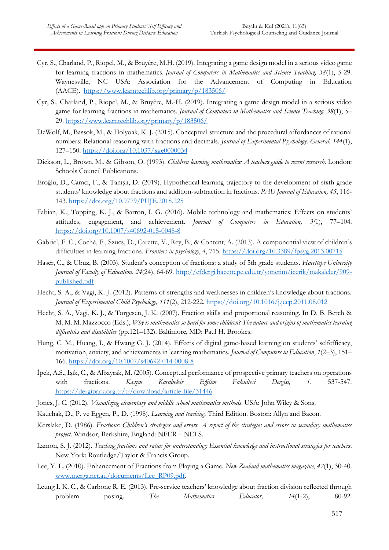- Cyr, S., Charland, P., Riopel, M., & Bruyère, M.H. (2019). Integrating a game design model in a serious video game for learning fractions in mathematics. *Journal of Computers in Mathematics and Science Teaching, 38*(1), 5-29. Waynesville, NC USA: Association for the Advancement of Computing in Education (AACE). <https://www.learntechlib.org/primary/p/183506/>
- Cyr, S., Charland, P., Riopel, M., & Bruyère, M.-H. (2019). Integrating a game design model in a serious video game for learning fractions in mathematics. *Journal of Computers in Mathematics and Science Teaching, 38*(1), 5– 29. <https://www.learntechlib.org/primary/p/183506/>
- DeWolf, M., Bassok, M., & Holyoak, K. J. (2015). Conceptual structure and the procedural affordances of rational numbers: Relational reasoning with fractions and decimals. *Journal of Experimental Psychology: General, 144*(1), 127–150.<https://doi.org/10.1037/xge0000034>
- Dickson, L., Brown, M., & Gibson, O. (1993). *Children learning mathematics: A teachers guide to recent research*. London: Schools Council Publications.
- Eroğlu, D., Camcı, F., & Tanışlı, D. (2019). Hypothetical learning trajectory to the development of sixth grade students' knowledge about fractions and addition-subtraction in fractions. *PAU Journal of Education, 45*, 116- 143. <https://doi.org/10.9779/PUJE.2018.225>
- Fabian, K., Topping, K. J., & Barron, I. G. (2016). Mobile technology and mathematics: Effects on students' attitudes, engagement, and achievement. *Journal of Computers in Education, 3(*1), 77–104. <https://doi.org/10.1007/s40692-015-0048-8>
- Gabriel, F. C., Coché, F., Szucs, D., Carette, V., Rey, B., & Content, A. (2013). A componential view of children's difficulties in learning fractions. *Frontiers in psychology*, *4*, 715. <https://doi.org/10.3389/fpsyg.2013.00715>
- Haser, Ç., & Ubuz, B. (2003). Student's conception of fractions: a study of 5th grade students. *Hacettepe University Journal of Faculty of Education*, *24*(24), 64-69. [http://efdergi.hacettepe.edu.tr/yonetim/icerik/makaleler/909](http://efdergi.hacettepe.edu.tr/yonetim/icerik/makaleler/909-published.pdf) [published.pdf](http://efdergi.hacettepe.edu.tr/yonetim/icerik/makaleler/909-published.pdf)
- Hecht, S. A., & Vagi, K. J. (2012). Patterns of strengths and weaknesses in children's knowledge about fractions. *Journal of Experimental Child Psychology, 111*(2), 212-222. <https://doi.org/10.1016/j.jecp.2011.08.012>
- Hecht, S. A., Vagi, K. J., & Torgesen, J. K. (2007). Fraction skills and proportional reasoning. In D. B. Berch & M. M. M. Mazzocco (Eds.), *Why is mathematics so hard for some children? The nature and origins of mathematics learning difficulties and disabilities* (pp.121–132). Baltimore, MD: Paul H. Brookes.
- Hung, C. M., Huang, I., & Hwang G. J. (2014). Effects of digital game-based learning on students' selfefficacy, motivation, anxiety, and achievements in learning mathematics. *Journal of Computers in Education*, *1*(2–3), 151– 166. <https://doi.org/10.1007/s40692-014-0008-8>
- İpek, A.S., Işık, C., & Albayrak, M. (2005). Conceptual performance of prospective primary teachers on operations with fractions. *Kazım Karabekir Eğitim Fakültesi Dergisi, 1*, 537-547. <https://dergipark.org.tr/tr/download/article-file/31446>
- Jones, J. C. (2012). *Visualizing elementary and middle school mathematics methods*. USA: John Wiley & Sons.
- Kauchak, D., P. ve Eggen, P., D. (1998). *Learning and teaching*. Third Edition. Boston: Allyn and Bacon.
- Kerslake, D. (1986). *Fractions: Children's strategies and errors. A report of the strategies and errors in secondary mathematics project*. Windsor, Berkshire, England: NFER – NELS.
- Lamon, S. J. (2012). *Teaching fractions and ratios for understanding: Essential knowledge and instructional strategies for teachers*. New York: Routledge/Taylor & Francis Group.
- Lee, Y. L. (2010). Enhancement of Fractions from Playing a Game*. New Zealand mathematics magazine*, *47*(1), 30-40. [www.merga.net.au/documents/Lee\\_RP09.pdf.](http://www.merga.net.au/documents/Lee_RP09.pdf)
- Leung I. K. C., & Carbone R. E. (2013). Pre-service teachers' knowledge about fraction division reflected through problem posing. *The Mathematics Educator, 14*(1-2), 80-92.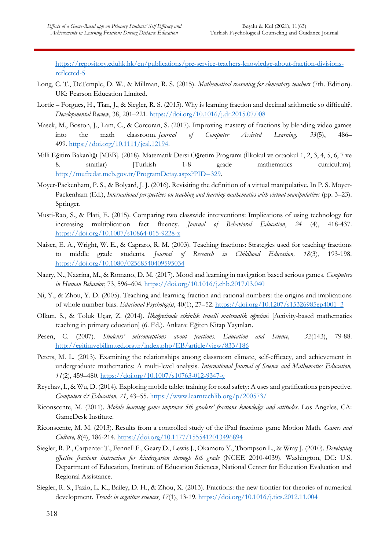[https://repository.eduhk.hk/en/publications/pre-service-teachers-knowledge-about-fraction-divisions](https://repository.eduhk.hk/en/publications/pre-service-teachers-knowledge-about-fraction-divisions-reflected-5)[reflected-5](https://repository.eduhk.hk/en/publications/pre-service-teachers-knowledge-about-fraction-divisions-reflected-5)

- Long, C. T., DeTemple, D. W., & Millman, R. S. (2015). *Mathematical reasoning for elementary teachers* (7th. Edition). UK: Pearson Education Limited.
- Lortie Forgues, H., Tian, J., & Siegler, R. S. (2015). Why is learning fraction and decimal arithmetic so difficult?. *Developmental Review*, 38, 201–221. [https://doi.org/10.1016/j.dr.2015.07.008](https://psycnet.apa.org/doi/10.1016/j.dr.2015.07.008)
- Masek, M., Boston, J., Lam, C., & Corcoran, S. (2017). Improving mastery of fractions by blending video games into the math classroom. *Journal of Computer Assisted Learning, 33*(5), 486– 499. [https://doi.org/10.1111/jcal.12194.](https://doi.org/10.1111/jcal.12194)
- Milli Eğitim Bakanlığı [MEB]. (2018). Matematik Dersi Öğretim Programı (İlkokul ve ortaokul 1, 2, 3, 4, 5, 6, 7 ve 8. sınıflar) [Turkish 1-8 grade mathematics curriculum]. [http://mufredat.meb.gov.tr/ProgramDetay.aspx?PID=329.](http://mufredat.meb.gov.tr/ProgramDetay.aspx?PID=329)
- Moyer-Packenham, P. S., & Bolyard, J. J. (2016). Revisiting the definition of a virtual manipulative. In P. S. Moyer-Packenham (Ed.), *International perspectives on teaching and learning mathematics with virtual manipulatives* (pp. 3–23). Springer.
- Musti-Rao, S., & Plati, E. (2015). Comparing two classwide interventions: Implications of using technology for increasing multiplication fact fluency. *Journal of Behavioral Education*, *24* (4), 418-437. [https://doi.org/10.1007/s10864-015-9228-x](https://psycnet.apa.org/doi/10.1007/s10864-015-9228-x)
- Naiser, E. A., Wright, W. E., & Capraro, R. M. (2003). Teaching fractions: Strategies used for teaching fractions to middle grade students. *Journal of Research in Childhood Education, 18*(3), 193-198. <https://doi.org/10.1080/02568540409595034>
- Nazry, N., Nazrina, M., & Romano, D. M. (2017). Mood and learning in navigation based serious games. *Computers in Human Behavior*, 73, 596–604. <https://doi.org/10.1016/j.chb.2017.03.040>
- Ni, Y., & Zhou, Y. D. (2005). Teaching and learning fraction and rational numbers: the origins and implications of whole number bias. *Educional Psychologist*, 40(1), 27–52[. https://doi.org/10.1207/s15326985ep4001\\_3](https://doi.org/10.1207/s15326985ep4001_3)
- Olkun, S., & Toluk Uçar, Z. (2014). *İlköğretimde etkinlik temelli matematik öğretim*i [Activity-based mathematics teaching in primary education] (6. Ed.). Ankara: Eğiten Kitap Yayınları.
- Pesen, C. (2007). *Students' misconceptions about fractions. Education and Science, 32*(143), 79-88. <http://egitimvebilim.ted.org.tr/index.php/EB/article/view/833/186>
- Peters, M. L. (2013). Examining the relationships among classroom climate, self-efficacy, and achievement in undergraduate mathematics: A multi-level analysis. *International Journal of Science and Mathematics Education, 11*(2), 459–480. <https://doi.org/10.1007/s10763-012-9347-y>
- Reychav, I., & Wu, D. (2014). Exploring mobile tablet training for road safety: A uses and gratifications perspective. *Computers & Education, 71*, 43–55. <https://www.learntechlib.org/p/200573/>
- Riconscente, M. (2011). *Mobile learning game improves 5th graders' fractions knowledge and attitudes*. Los Angeles, CA: GameDesk Institute.
- Riconscente, M. M. (2013). Results from a controlled study of the iPad fractions game Motion Math. *Games and Culture, 8*(4), 186-214. [https://doi.org/10.1177/1555412013496894](https://doi.org/10.1177%2F1555412013496894)
- Siegler, R. P., Carpenter T., Fennell F., Geary D., Lewis J., Okamoto Y., Thompson L., & Wray J. (2010). *Developing effective fractions instruction for kindergarten through 8th grade* (NCEE 2010-4039). Washington, DC: U.S. Department of Education, Institute of Education Sciences, National Center for Education Evaluation and Regional Assistance.
- Siegler, R. S., Fazio, L. K., Bailey, D. H., & Zhou, X. (2013). Fractions: the new frontier for theories of numerical development. *Trends in cognitive sciences*, *17*(1), 13-19. <https://doi.org/10.1016/j.tics.2012.11.004>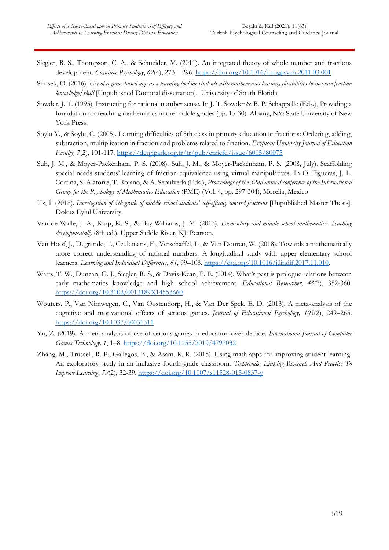- Siegler, R. S., Thompson, C. A., & Schneider, M. (2011). An integrated theory of whole number and fractions development. *Cognitive Psychology*, *62*(4), 273 – 296. <https://doi.org/10.1016/j.cogpsych.2011.03.001>
- Simsek, O. (2016). *Use of a game-based app as a learning tool for students with mathematics learning disabilities to increase fraction knowledge/skill* [Unpublished Doctoral dissertation]. University of South Florida.
- Sowder, J. T. (1995). Instructing for rational number sense. In J. T. Sowder & B. P. Schappelle (Eds.), Providing a foundation for teaching mathematics in the middle grades (pp. 15-30). Albany, NY: State University of New York Press.
- Soylu Y., & Soylu, C. (2005). Learning difficulties of 5th class in primary education at fractions: Ordering, adding, subtraction, multiplication in fraction and problems related to fraction. *Erzincan University Journal of Education Faculty, 7*(2), 101-117. <https://dergipark.org.tr/tr/pub/erziefd/issue/6005/80075>
- Suh, J. M., & Moyer-Packenham, P. S. (2008). Suh, J. M., & Moyer-Packenham, P. S. (2008, July). Scaffolding special needs students' learning of fraction equivalence using virtual manipulatives. In O. Figueras, J. L. Cortina, S. Alatorre, T. Rojano, & A. Sepulveda (Eds.), *Proceedings of the 32nd annual conference of the International Group for the Psychology of Mathematics Education* (PME) (Vol. 4, pp. 297-304), Morelia, Mexico
- Uz, İ. (2018). *Investigation of 5th grade of middle school students' self-efficacy toward fractions* [Unpublished Master Thesis]. Dokuz Eylül University.
- Van de Walle, J. A., Karp, K. S., & Bay-Williams, J. M. (2013). *Elementary and middle school mathematics: Teaching developmentally* (8th ed.). Upper Saddle River, NJ: Pearson.
- Van Hoof, J., Degrande, T., Ceulemans, E., Verschaffel, L., & Van Dooren, W. (2018). Towards a mathematically more correct understanding of rational numbers: A longitudinal study with upper elementary school learners. *Learning and Individual Differences*, *61*, 99–108. [https://doi.org/10.1016/j.lindif.2017.11.010.](https://doi.org/10.1016/j.lindif.2017.11.010)
- Watts, T. W., Duncan, G. J., Siegler, R. S., & Davis-Kean, P. E. (2014). What's past is prologue relations between early mathematics knowledge and high school achievement. *Educational Researcher*, *43*(7), 352-360. [https://doi.org/10.3102/0013189X14553660](https://doi.org/10.3102%2F0013189X14553660)
- Wouters, P., Van Nimwegen, C., Van Oostendorp, H., & Van Der Spek, E. D. (2013). A meta-analysis of the cognitive and motivational effects of serious games. *Journal of Educational Psychology, 105*(2), 249–265. <https://doi.org/10.1037/a0031311>
- Yu, Z. (2019). A meta-analysis of use of serious games in education over decade*. International Journal of Computer Games Technology, 1*, 1–8.<https://doi.org/10.1155/2019/4797032>
- Zhang, M., Trussell, R. P., Gallegos, B., & Asam, R. R. (2015). Using math apps for improving student learning: An exploratory study in an inclusive fourth grade classroom. *Techtrends: Linking Research And Practice To Improve Learning*, *59*(2), 32-39. <https://doi.org/10.1007/s11528-015-0837-y>